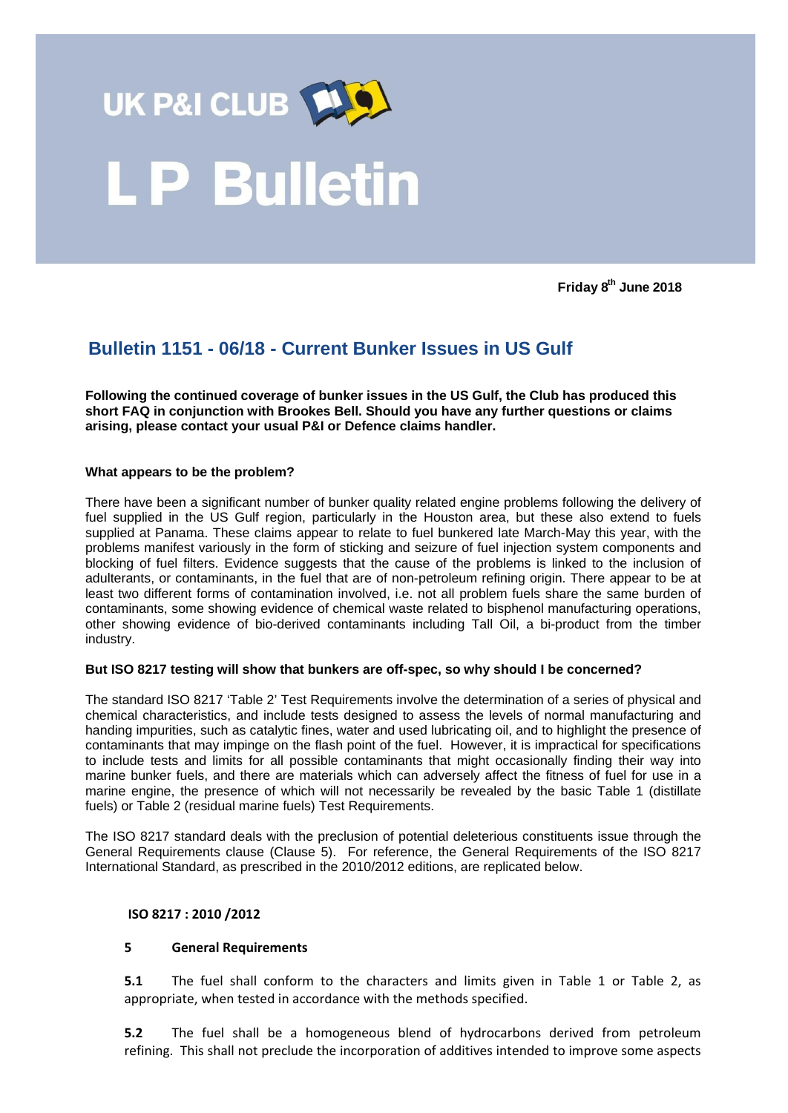

**Friday 8th June 2018**

# **Bulletin 1151 - 06/18 - Current Bunker Issues in US Gulf**

**Following the continued coverage of bunker issues in the US Gulf, the Club has produced this short FAQ in conjunction with Brookes Bell. Should you have any further questions or claims arising, please contact your usual P&I or Defence claims handler.**

## **What appears to be the problem?**

There have been a significant number of bunker quality related engine problems following the delivery of fuel supplied in the US Gulf region, particularly in the Houston area, but these also extend to fuels supplied at Panama. These claims appear to relate to fuel bunkered late March-May this year, with the problems manifest variously in the form of sticking and seizure of fuel injection system components and blocking of fuel filters. Evidence suggests that the cause of the problems is linked to the inclusion of adulterants, or contaminants, in the fuel that are of non-petroleum refining origin. There appear to be at least two different forms of contamination involved, i.e. not all problem fuels share the same burden of contaminants, some showing evidence of chemical waste related to bisphenol manufacturing operations, other showing evidence of bio-derived contaminants including Tall Oil, a bi-product from the timber industry.

#### **But ISO 8217 testing will show that bunkers are off-spec, so why should I be concerned?**

The standard ISO 8217 'Table 2' Test Requirements involve the determination of a series of physical and chemical characteristics, and include tests designed to assess the levels of normal manufacturing and handing impurities, such as catalytic fines, water and used lubricating oil, and to highlight the presence of contaminants that may impinge on the flash point of the fuel. However, it is impractical for specifications to include tests and limits for all possible contaminants that might occasionally finding their way into marine bunker fuels, and there are materials which can adversely affect the fitness of fuel for use in a marine engine, the presence of which will not necessarily be revealed by the basic Table 1 (distillate fuels) or Table 2 (residual marine fuels) Test Requirements.

The ISO 8217 standard deals with the preclusion of potential deleterious constituents issue through the General Requirements clause (Clause 5). For reference, the General Requirements of the ISO 8217 International Standard, as prescribed in the 2010/2012 editions, are replicated below.

#### **ISO 8217 : 2010 /2012**

# **5 General Requirements**

**5.1** The fuel shall conform to the characters and limits given in Table 1 or Table 2, as appropriate, when tested in accordance with the methods specified.

**5.2** The fuel shall be a homogeneous blend of hydrocarbons derived from petroleum refining. This shall not preclude the incorporation of additives intended to improve some aspects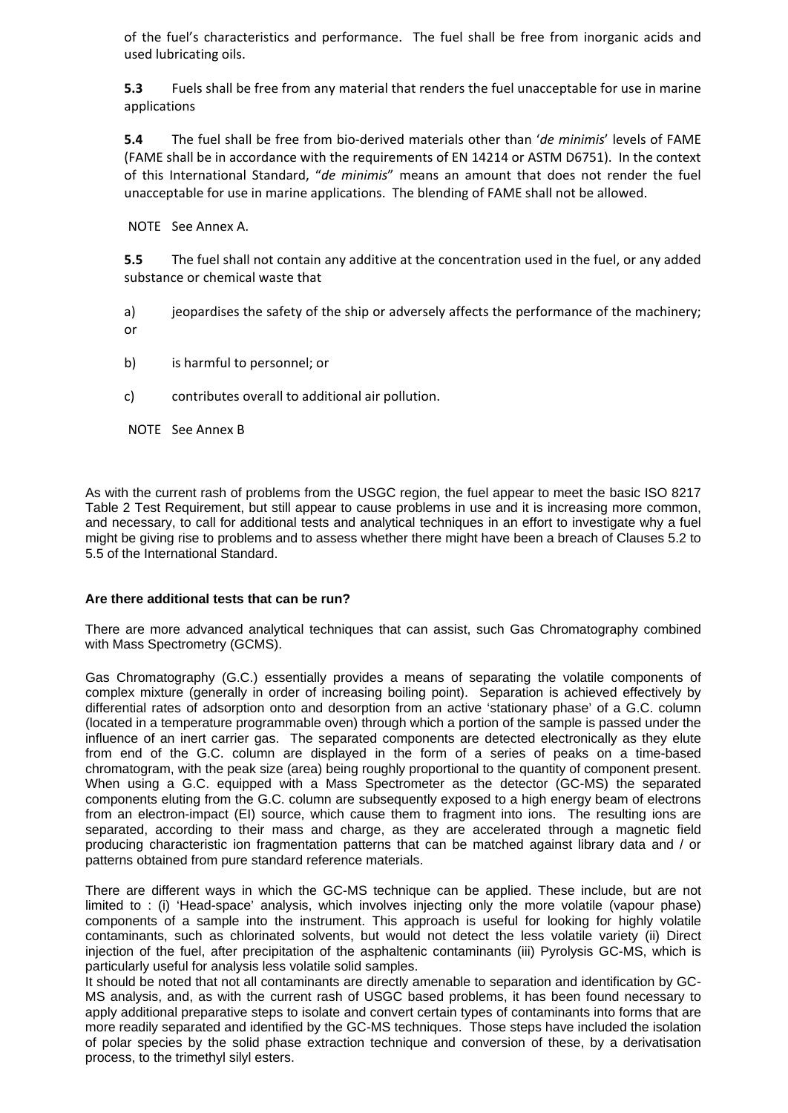of the fuel's characteristics and performance. The fuel shall be free from inorganic acids and used lubricating oils.

**5.3** Fuels shall be free from any material that renders the fuel unacceptable for use in marine applications

**5.4** The fuel shall be free from bio-derived materials other than '*de minimis*' levels of FAME (FAME shall be in accordance with the requirements of EN 14214 or ASTM D6751). In the context of this International Standard, "*de minimis*" means an amount that does not render the fuel unacceptable for use in marine applications. The blending of FAME shall not be allowed.

NOTE See Annex A.

**5.5** The fuel shall not contain any additive at the concentration used in the fuel, or any added substance or chemical waste that

a) ieopardises the safety of the ship or adversely affects the performance of the machinery; or

- b) is harmful to personnel; or
- c) contributes overall to additional air pollution.

NOTE See Annex B

As with the current rash of problems from the USGC region, the fuel appear to meet the basic ISO 8217 Table 2 Test Requirement, but still appear to cause problems in use and it is increasing more common, and necessary, to call for additional tests and analytical techniques in an effort to investigate why a fuel might be giving rise to problems and to assess whether there might have been a breach of Clauses 5.2 to 5.5 of the International Standard.

#### **Are there additional tests that can be run?**

There are more advanced analytical techniques that can assist, such Gas Chromatography combined with Mass Spectrometry (GCMS).

Gas Chromatography (G.C.) essentially provides a means of separating the volatile components of complex mixture (generally in order of increasing boiling point). Separation is achieved effectively by differential rates of adsorption onto and desorption from an active 'stationary phase' of a G.C. column (located in a temperature programmable oven) through which a portion of the sample is passed under the influence of an inert carrier gas. The separated components are detected electronically as they elute from end of the G.C. column are displayed in the form of a series of peaks on a time-based chromatogram, with the peak size (area) being roughly proportional to the quantity of component present. When using a G.C. equipped with a Mass Spectrometer as the detector (GC-MS) the separated components eluting from the G.C. column are subsequently exposed to a high energy beam of electrons from an electron-impact (EI) source, which cause them to fragment into ions. The resulting ions are separated, according to their mass and charge, as they are accelerated through a magnetic field producing characteristic ion fragmentation patterns that can be matched against library data and / or patterns obtained from pure standard reference materials.

There are different ways in which the GC-MS technique can be applied. These include, but are not limited to : (i) 'Head-space' analysis, which involves injecting only the more volatile (vapour phase) components of a sample into the instrument. This approach is useful for looking for highly volatile contaminants, such as chlorinated solvents, but would not detect the less volatile variety (ii) Direct injection of the fuel, after precipitation of the asphaltenic contaminants (iii) Pyrolysis GC-MS, which is particularly useful for analysis less volatile solid samples.

It should be noted that not all contaminants are directly amenable to separation and identification by GC-MS analysis, and, as with the current rash of USGC based problems, it has been found necessary to apply additional preparative steps to isolate and convert certain types of contaminants into forms that are more readily separated and identified by the GC-MS techniques. Those steps have included the isolation of polar species by the solid phase extraction technique and conversion of these, by a derivatisation process, to the trimethyl silyl esters.